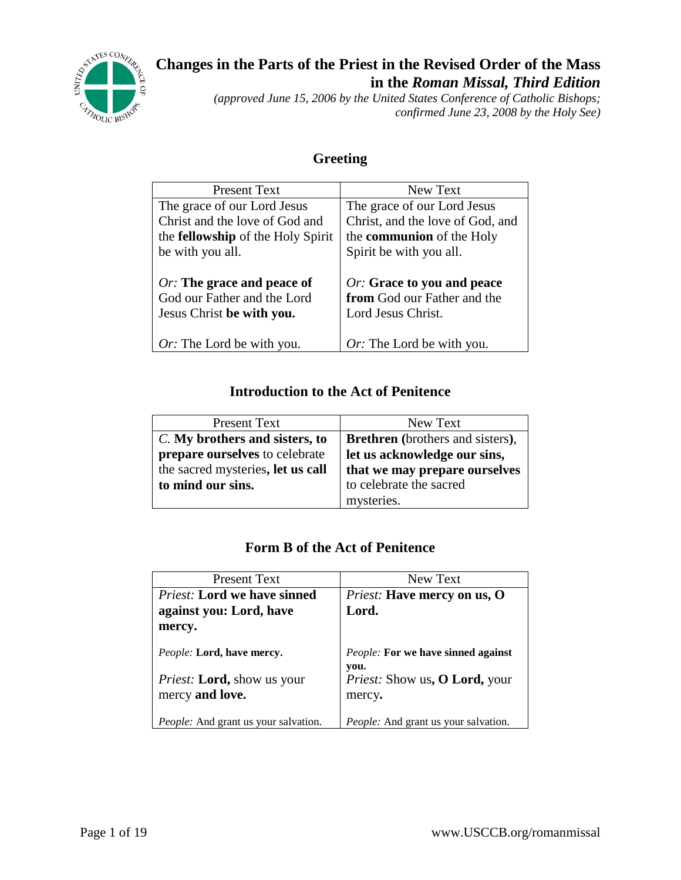

### **Changes in the Parts of the Priest in the Revised Order of the Mass in the** *Roman Missal, Third Edition*

*(approved June 15, 2006 by the United States Conference of Catholic Bishops; confirmed June 23, 2008 by the Holy See)*

#### **Greeting**

| <b>Present Text</b>                      | New Text                         |
|------------------------------------------|----------------------------------|
| The grace of our Lord Jesus              | The grace of our Lord Jesus      |
| Christ and the love of God and           | Christ, and the love of God, and |
| the <b>fellowship</b> of the Holy Spirit | the <b>communion</b> of the Holy |
| be with you all.                         | Spirit be with you all.          |
|                                          |                                  |
| $Or:$ The grace and peace of             | $Or:$ Grace to you and peace     |
| God our Father and the Lord              | from God our Father and the      |
| Jesus Christ be with you.                | Lord Jesus Christ.               |
|                                          |                                  |
| $Or:$ The Lord be with you.              | $Or:$ The Lord be with you.      |

#### **Introduction to the Act of Penitence**

| <b>Present Text</b>               | New Text                                |
|-----------------------------------|-----------------------------------------|
| C. My brothers and sisters, to    | <b>Brethren</b> (brothers and sisters), |
| prepare ourselves to celebrate    | let us acknowledge our sins,            |
| the sacred mysteries, let us call | that we may prepare ourselves           |
| to mind our sins.                 | to celebrate the sacred                 |
|                                   | mysteries.                              |

#### **Form B of the Act of Penitence**

| <b>Present Text</b>                         | New Text                                    |
|---------------------------------------------|---------------------------------------------|
| <b>Priest:</b> Lord we have sinned          | <i>Priest:</i> Have mercy on us, O          |
| against you: Lord, have                     | Lord.                                       |
| mercy.                                      |                                             |
| People: Lord, have mercy.                   | People: For we have sinned against<br>vou.  |
| <i>Priest:</i> Lord, show us your           | <i>Priest:</i> Show us, O Lord, your        |
| mercy and love.                             | mercy.                                      |
| <i>People:</i> And grant us your salvation. | <i>People:</i> And grant us your salvation. |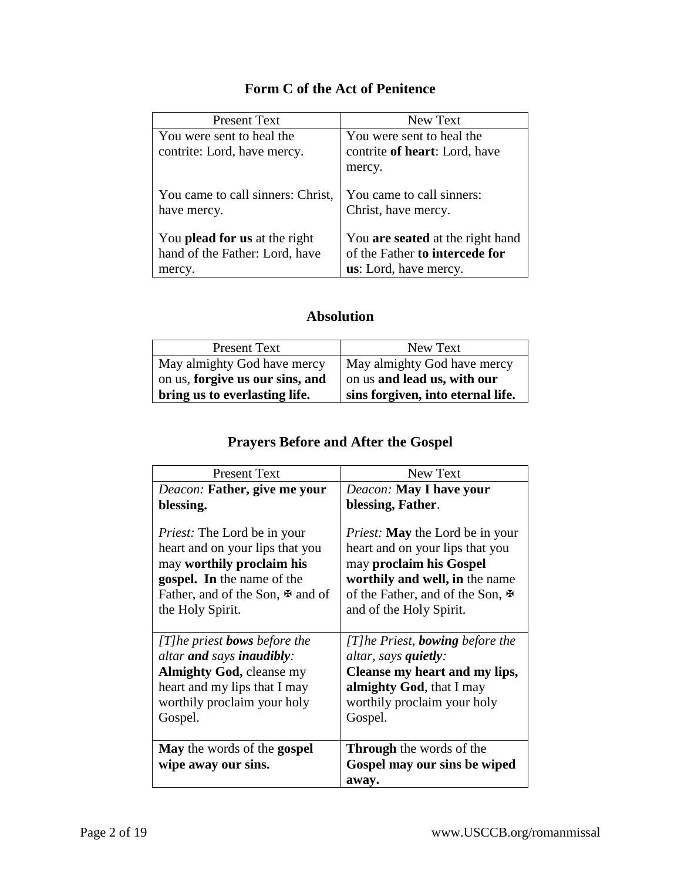### **Form C of the Act of Penitence**

| <b>Present Text</b>                  | New Text                                |
|--------------------------------------|-----------------------------------------|
| You were sent to heal the            | You were sent to heal the               |
| contrite: Lord, have mercy.          | contrite of heart: Lord, have           |
|                                      | mercy.                                  |
| You came to call sinners: Christ,    | You came to call sinners:               |
| have mercy.                          | Christ, have mercy.                     |
|                                      |                                         |
| You <b>plead for us</b> at the right | You <b>are seated</b> at the right hand |
| hand of the Father: Lord, have       | of the Father to intercede for          |
| mercy.                               | <b>us</b> : Lord, have mercy.           |

#### **Absolution**

| <b>Present Text</b>             | New Text                          |
|---------------------------------|-----------------------------------|
| May almighty God have mercy     | May almighty God have mercy       |
| on us, forgive us our sins, and | on us and lead us, with our       |
| bring us to everlasting life.   | sins forgiven, into eternal life. |

### **Prayers Before and After the Gospel**

| <b>Present Text</b>                                                                                                                                                                                | New Text                                                                                                                                                                                                                |
|----------------------------------------------------------------------------------------------------------------------------------------------------------------------------------------------------|-------------------------------------------------------------------------------------------------------------------------------------------------------------------------------------------------------------------------|
| Deacon: Father, give me your                                                                                                                                                                       | <i>Deacon:</i> May I have your                                                                                                                                                                                          |
| blessing.                                                                                                                                                                                          | blessing, Father.                                                                                                                                                                                                       |
| <i>Priest:</i> The Lord be in your<br>heart and on your lips that you<br>may worthily proclaim his<br>gospel. In the name of the<br>Father, and of the Son, $\mathbb F$ and of<br>the Holy Spirit. | <i>Priest:</i> <b>May</b> the Lord be in your<br>heart and on your lips that you<br>may proclaim his Gospel<br>worthily and well, in the name<br>of the Father, and of the Son, $\mathbb{F}$<br>and of the Holy Spirit. |
| $[T]$ he priest <b>bows</b> before the<br>altar <b>and</b> says <b>inaudibly</b> :<br><b>Almighty God, cleanse my</b><br>heart and my lips that I may<br>worthily proclaim your holy<br>Gospel.    | [T] he Priest, <b>bowing</b> before the<br>altar, says <b>quietly</b> :<br>Cleanse my heart and my lips,<br>almighty God, that I may<br>worthily proclaim your holy<br>Gospel.                                          |
| May the words of the gospel<br>wipe away our sins.                                                                                                                                                 | <b>Through</b> the words of the<br>Gospel may our sins be wiped<br>away.                                                                                                                                                |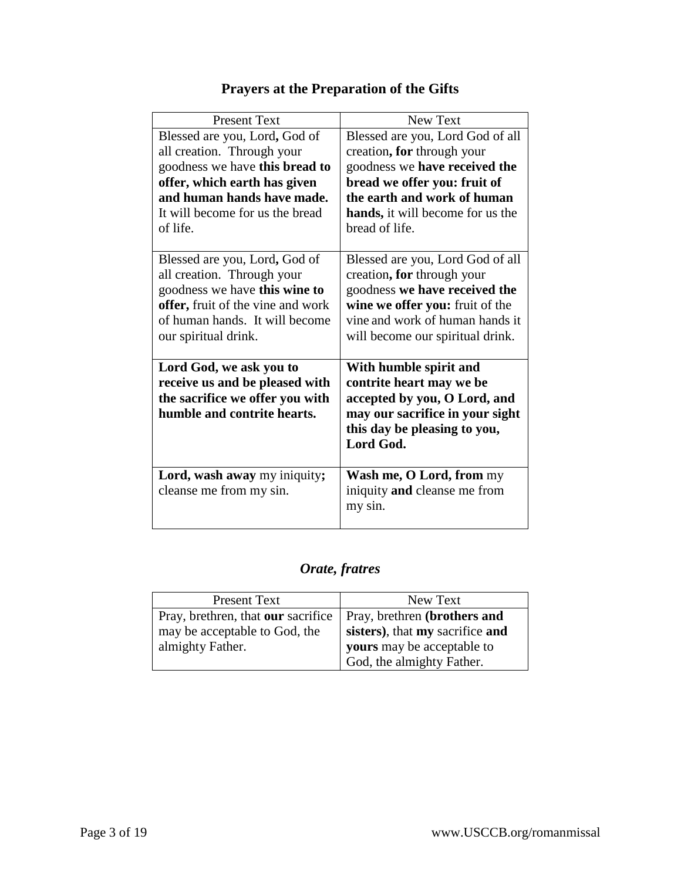| <b>Present Text</b>                                                                                                                                                                                        | <b>New Text</b>                                                                                                                                                                                                      |
|------------------------------------------------------------------------------------------------------------------------------------------------------------------------------------------------------------|----------------------------------------------------------------------------------------------------------------------------------------------------------------------------------------------------------------------|
| Blessed are you, Lord, God of<br>all creation. Through your<br>goodness we have this bread to<br>offer, which earth has given<br>and human hands have made.<br>It will become for us the bread<br>of life. | Blessed are you, Lord God of all<br>creation, for through your<br>goodness we have received the<br>bread we offer you: fruit of<br>the earth and work of human<br>hands, it will become for us the<br>bread of life. |
| Blessed are you, Lord, God of<br>all creation. Through your<br>goodness we have this wine to<br>offer, fruit of the vine and work<br>of human hands. It will become<br>our spiritual drink.                | Blessed are you, Lord God of all<br>creation, for through your<br>goodness we have received the<br>wine we offer you: fruit of the<br>vine and work of human hands it<br>will become our spiritual drink.            |
| Lord God, we ask you to<br>receive us and be pleased with<br>the sacrifice we offer you with<br>humble and contrite hearts.                                                                                | With humble spirit and<br>contrite heart may we be<br>accepted by you, O Lord, and<br>may our sacrifice in your sight<br>this day be pleasing to you,<br>Lord God.                                                   |
| Lord, wash away my iniquity;<br>cleanse me from my sin.                                                                                                                                                    | Wash me, O Lord, from my<br>iniquity <b>and</b> cleanse me from<br>my sin.                                                                                                                                           |

# **Prayers at the Preparation of the Gifts**

### *Orate, fratres*

| <b>Present Text</b>                | New Text                            |
|------------------------------------|-------------------------------------|
| Pray, brethren, that our sacrifice | <b>Pray, brethren (brothers and</b> |
| may be acceptable to God, the      | sisters), that my sacrifice and     |
| almighty Father.                   | yours may be acceptable to          |
|                                    | God, the almighty Father.           |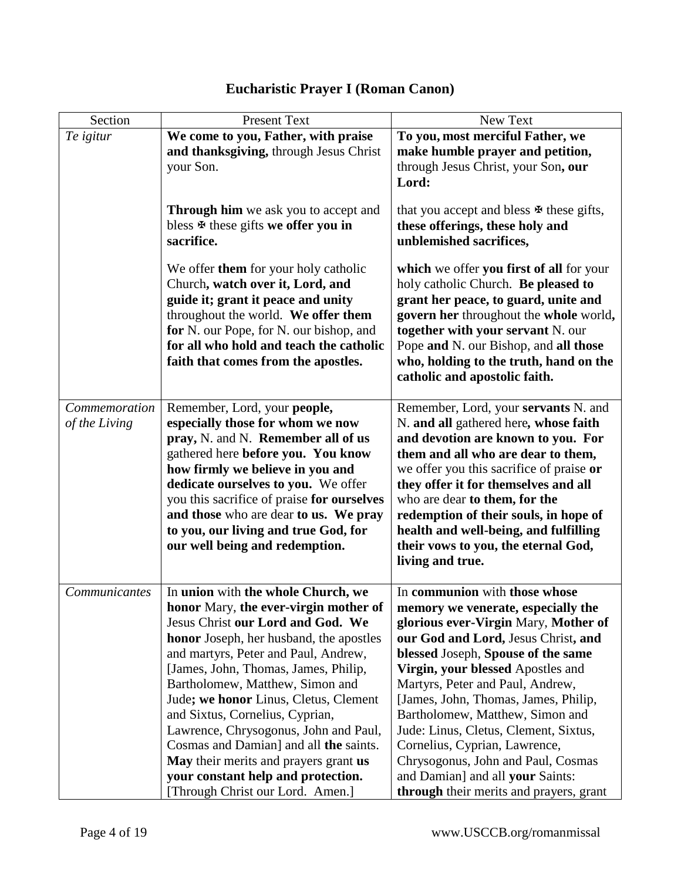| Section                        | <b>Present Text</b>                                                                                                                                                                                                                                                                                                                                                                                                                                                                                                                                              | New Text                                                                                                                                                                                                                                                                                                                                                                                                                                                                                                                                    |
|--------------------------------|------------------------------------------------------------------------------------------------------------------------------------------------------------------------------------------------------------------------------------------------------------------------------------------------------------------------------------------------------------------------------------------------------------------------------------------------------------------------------------------------------------------------------------------------------------------|---------------------------------------------------------------------------------------------------------------------------------------------------------------------------------------------------------------------------------------------------------------------------------------------------------------------------------------------------------------------------------------------------------------------------------------------------------------------------------------------------------------------------------------------|
| Te igitur                      | We come to you, Father, with praise<br>and thanksgiving, through Jesus Christ<br>your Son.                                                                                                                                                                                                                                                                                                                                                                                                                                                                       | To you, most merciful Father, we<br>make humble prayer and petition,<br>through Jesus Christ, your Son, our<br>Lord:                                                                                                                                                                                                                                                                                                                                                                                                                        |
|                                | <b>Through him</b> we ask you to accept and<br>bless $\mathfrak{B}$ these gifts we offer you in<br>sacrifice.                                                                                                                                                                                                                                                                                                                                                                                                                                                    | that you accept and bless $\mathcal F$ these gifts,<br>these offerings, these holy and<br>unblemished sacrifices,                                                                                                                                                                                                                                                                                                                                                                                                                           |
|                                | We offer them for your holy catholic<br>Church, watch over it, Lord, and<br>guide it; grant it peace and unity<br>throughout the world. We offer them<br>for N. our Pope, for N. our bishop, and<br>for all who hold and teach the catholic<br>faith that comes from the apostles.                                                                                                                                                                                                                                                                               | which we offer you first of all for your<br>holy catholic Church. Be pleased to<br>grant her peace, to guard, unite and<br>govern her throughout the whole world,<br>together with your servant N. our<br>Pope and N. our Bishop, and all those<br>who, holding to the truth, hand on the<br>catholic and apostolic faith.                                                                                                                                                                                                                  |
| Commemoration<br>of the Living | Remember, Lord, your people,<br>especially those for whom we now<br>pray, N. and N. Remember all of us<br>gathered here before you. You know<br>how firmly we believe in you and<br>dedicate ourselves to you. We offer<br>you this sacrifice of praise for ourselves<br>and those who are dear to us. We pray<br>to you, our living and true God, for<br>our well being and redemption.                                                                                                                                                                         | Remember, Lord, your servants N. and<br>N. and all gathered here, whose faith<br>and devotion are known to you. For<br>them and all who are dear to them,<br>we offer you this sacrifice of praise or<br>they offer it for themselves and all<br>who are dear to them, for the<br>redemption of their souls, in hope of<br>health and well-being, and fulfilling<br>their vows to you, the eternal God,<br>living and true.                                                                                                                 |
| Communicantes                  | In union with the whole Church, we<br>honor Mary, the ever-virgin mother of<br>Jesus Christ our Lord and God. We<br>honor Joseph, her husband, the apostles<br>and martyrs, Peter and Paul, Andrew,<br>[James, John, Thomas, James, Philip,<br>Bartholomew, Matthew, Simon and<br>Jude; we honor Linus, Cletus, Clement<br>and Sixtus, Cornelius, Cyprian,<br>Lawrence, Chrysogonus, John and Paul,<br>Cosmas and Damian] and all the saints.<br>May their merits and prayers grant us<br>your constant help and protection.<br>[Through Christ our Lord. Amen.] | In communion with those whose<br>memory we venerate, especially the<br>glorious ever-Virgin Mary, Mother of<br>our God and Lord, Jesus Christ, and<br>blessed Joseph, Spouse of the same<br>Virgin, your blessed Apostles and<br>Martyrs, Peter and Paul, Andrew,<br>[James, John, Thomas, James, Philip,<br>Bartholomew, Matthew, Simon and<br>Jude: Linus, Cletus, Clement, Sixtus,<br>Cornelius, Cyprian, Lawrence,<br>Chrysogonus, John and Paul, Cosmas<br>and Damian] and all your Saints:<br>through their merits and prayers, grant |

# **Eucharistic Prayer I (Roman Canon)**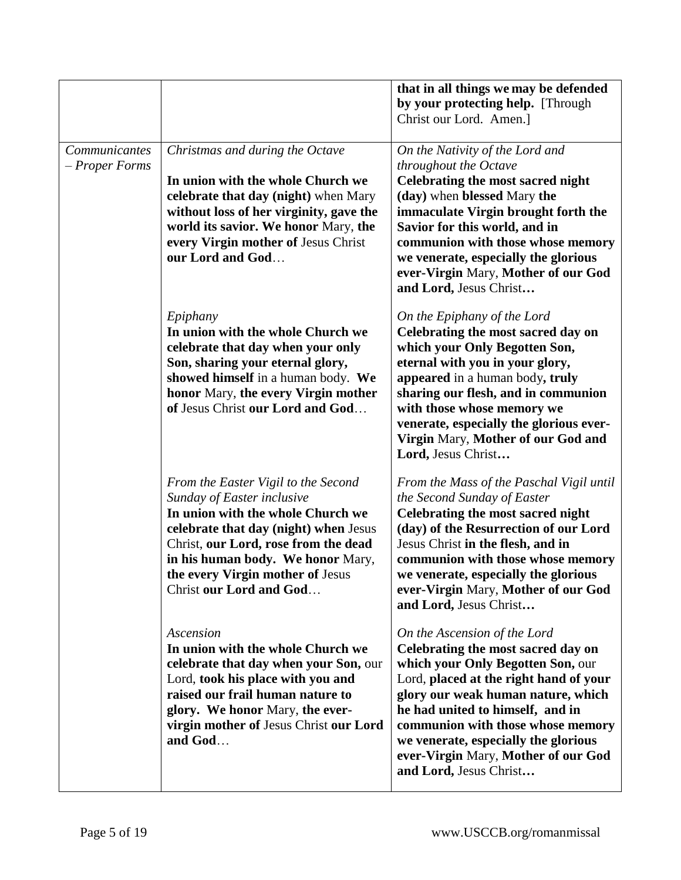|                                 |                                                                                                                                                                                                                                                                                             | that in all things we may be defended<br>by your protecting help. [Through<br>Christ our Lord. Amen.]                                                                                                                                                                                                                                                                     |
|---------------------------------|---------------------------------------------------------------------------------------------------------------------------------------------------------------------------------------------------------------------------------------------------------------------------------------------|---------------------------------------------------------------------------------------------------------------------------------------------------------------------------------------------------------------------------------------------------------------------------------------------------------------------------------------------------------------------------|
| Communicantes<br>- Proper Forms | Christmas and during the Octave<br>In union with the whole Church we<br>celebrate that day (night) when Mary<br>without loss of her virginity, gave the<br>world its savior. We honor Mary, the<br>every Virgin mother of Jesus Christ<br>our Lord and God                                  | On the Nativity of the Lord and<br>throughout the Octave<br><b>Celebrating the most sacred night</b><br>(day) when blessed Mary the<br>immaculate Virgin brought forth the<br>Savior for this world, and in<br>communion with those whose memory<br>we venerate, especially the glorious<br>ever-Virgin Mary, Mother of our God<br>and Lord, Jesus Christ                 |
|                                 | Epiphany<br>In union with the whole Church we<br>celebrate that day when your only<br>Son, sharing your eternal glory,<br>showed himself in a human body. We<br>honor Mary, the every Virgin mother<br>of Jesus Christ our Lord and God                                                     | On the Epiphany of the Lord<br>Celebrating the most sacred day on<br>which your Only Begotten Son,<br>eternal with you in your glory,<br>appeared in a human body, truly<br>sharing our flesh, and in communion<br>with those whose memory we<br>venerate, especially the glorious ever-<br>Virgin Mary, Mother of our God and<br>Lord, Jesus Christ                      |
|                                 | From the Easter Vigil to the Second<br>Sunday of Easter inclusive<br>In union with the whole Church we<br>celebrate that day (night) when Jesus<br>Christ, our Lord, rose from the dead<br>in his human body. We honor Mary,<br>the every Virgin mother of Jesus<br>Christ our Lord and God | From the Mass of the Paschal Vigil until<br>the Second Sunday of Easter<br><b>Celebrating the most sacred night</b><br>(day) of the Resurrection of our Lord<br>Jesus Christ in the flesh, and in<br>communion with those whose memory<br>we venerate, especially the glorious<br>ever-Virgin Mary, Mother of our God<br>and Lord, Jesus Christ                           |
|                                 | Ascension<br>In union with the whole Church we<br>celebrate that day when your Son, our<br>Lord, took his place with you and<br>raised our frail human nature to<br>glory. We honor Mary, the ever-<br>virgin mother of Jesus Christ our Lord<br>and God                                    | On the Ascension of the Lord<br>Celebrating the most sacred day on<br>which your Only Begotten Son, our<br>Lord, placed at the right hand of your<br>glory our weak human nature, which<br>he had united to himself, and in<br>communion with those whose memory<br>we venerate, especially the glorious<br>ever-Virgin Mary, Mother of our God<br>and Lord, Jesus Christ |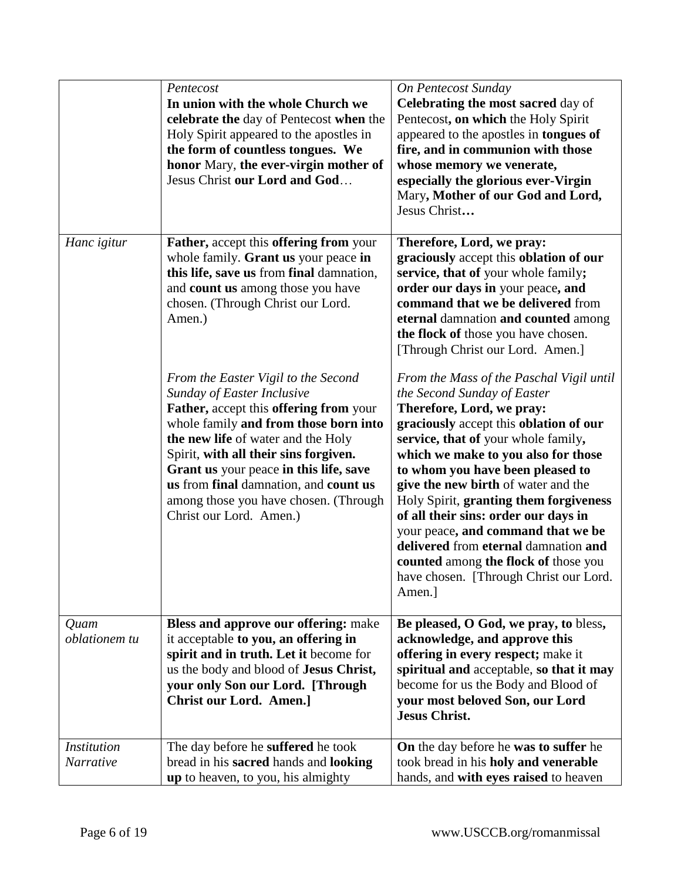|                                        | Pentecost<br>In union with the whole Church we<br>celebrate the day of Pentecost when the<br>Holy Spirit appeared to the apostles in<br>the form of countless tongues. We<br>honor Mary, the ever-virgin mother of<br>Jesus Christ our Lord and God                                                                                                                                               | <b>On Pentecost Sunday</b><br>Celebrating the most sacred day of<br>Pentecost, on which the Holy Spirit<br>appeared to the apostles in tongues of<br>fire, and in communion with those<br>whose memory we venerate,<br>especially the glorious ever-Virgin<br>Mary, Mother of our God and Lord,<br>Jesus Christ                                                                                                                                                                                                                                                      |
|----------------------------------------|---------------------------------------------------------------------------------------------------------------------------------------------------------------------------------------------------------------------------------------------------------------------------------------------------------------------------------------------------------------------------------------------------|----------------------------------------------------------------------------------------------------------------------------------------------------------------------------------------------------------------------------------------------------------------------------------------------------------------------------------------------------------------------------------------------------------------------------------------------------------------------------------------------------------------------------------------------------------------------|
| Hanc igitur                            | Father, accept this offering from your<br>whole family. Grant us your peace in<br>this life, save us from final damnation,<br>and count us among those you have<br>chosen. (Through Christ our Lord.<br>Amen.)                                                                                                                                                                                    | Therefore, Lord, we pray:<br>graciously accept this oblation of our<br>service, that of your whole family;<br>order our days in your peace, and<br>command that we be delivered from<br>eternal damnation and counted among<br>the flock of those you have chosen.<br>[Through Christ our Lord. Amen.]                                                                                                                                                                                                                                                               |
|                                        | From the Easter Vigil to the Second<br><b>Sunday of Easter Inclusive</b><br>Father, accept this offering from your<br>whole family and from those born into<br>the new life of water and the Holy<br>Spirit, with all their sins forgiven.<br>Grant us your peace in this life, save<br>us from final damnation, and count us<br>among those you have chosen. (Through<br>Christ our Lord. Amen.) | From the Mass of the Paschal Vigil until<br>the Second Sunday of Easter<br>Therefore, Lord, we pray:<br>graciously accept this oblation of our<br>service, that of your whole family,<br>which we make to you also for those<br>to whom you have been pleased to<br>give the new birth of water and the<br>Holy Spirit, granting them forgiveness<br>of all their sins: order our days in<br>your peace, and command that we be<br>delivered from eternal damnation and<br>counted among the flock of those you<br>have chosen. [Through Christ our Lord.]<br>Amen.] |
| Quam<br><i>oblationem tu</i>           | <b>Bless and approve our offering:</b> make<br>it acceptable to you, an offering in<br>spirit and in truth. Let it become for<br>us the body and blood of Jesus Christ,<br>your only Son our Lord. [Through<br>Christ our Lord. Amen.]                                                                                                                                                            | Be pleased, O God, we pray, to bless,<br>acknowledge, and approve this<br>offering in every respect; make it<br>spiritual and acceptable, so that it may<br>become for us the Body and Blood of<br>your most beloved Son, our Lord<br><b>Jesus Christ.</b>                                                                                                                                                                                                                                                                                                           |
| <i>Institution</i><br><b>Narrative</b> | The day before he suffered he took<br>bread in his sacred hands and looking<br>up to heaven, to you, his almighty                                                                                                                                                                                                                                                                                 | On the day before he was to suffer he<br>took bread in his holy and venerable<br>hands, and with eyes raised to heaven                                                                                                                                                                                                                                                                                                                                                                                                                                               |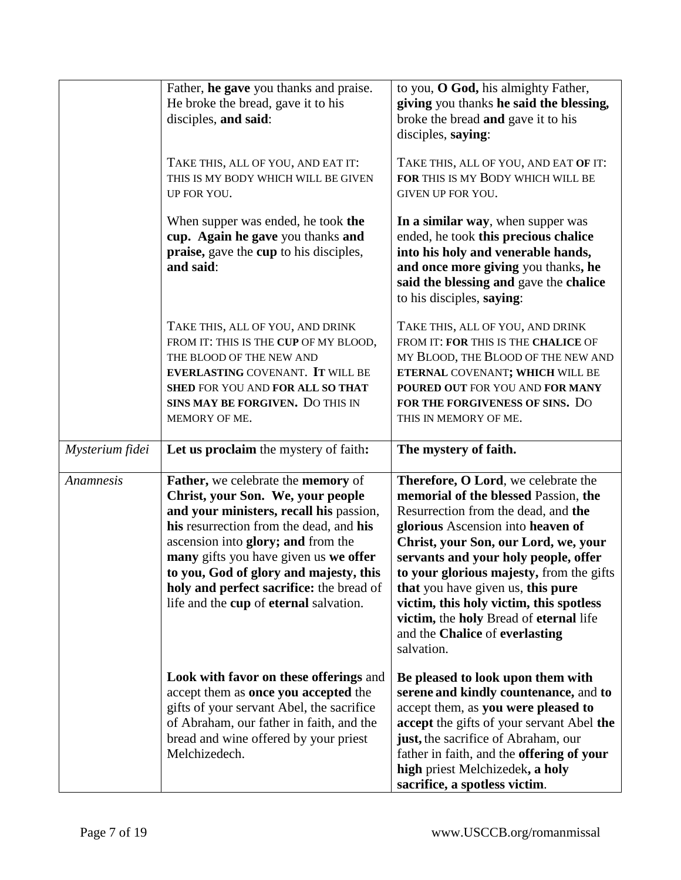|                 | Father, he gave you thanks and praise.<br>He broke the bread, gave it to his<br>disciples, and said:                                                                                                                                                                                                                                                                         | to you, O God, his almighty Father,<br>giving you thanks he said the blessing,<br>broke the bread and gave it to his<br>disciples, saying:                                                                                                                                                                                                                                                                                                                    |
|-----------------|------------------------------------------------------------------------------------------------------------------------------------------------------------------------------------------------------------------------------------------------------------------------------------------------------------------------------------------------------------------------------|---------------------------------------------------------------------------------------------------------------------------------------------------------------------------------------------------------------------------------------------------------------------------------------------------------------------------------------------------------------------------------------------------------------------------------------------------------------|
|                 | TAKE THIS, ALL OF YOU, AND EAT IT:<br>THIS IS MY BODY WHICH WILL BE GIVEN<br>UP FOR YOU.                                                                                                                                                                                                                                                                                     | TAKE THIS, ALL OF YOU, AND EAT OF IT:<br>FOR THIS IS MY BODY WHICH WILL BE<br>GIVEN UP FOR YOU.                                                                                                                                                                                                                                                                                                                                                               |
|                 | When supper was ended, he took the<br>cup. Again he gave you thanks and<br>praise, gave the cup to his disciples,<br>and said:                                                                                                                                                                                                                                               | In a similar way, when supper was<br>ended, he took this precious chalice<br>into his holy and venerable hands,<br>and once more giving you thanks, he<br>said the blessing and gave the chalice<br>to his disciples, saying:                                                                                                                                                                                                                                 |
|                 | TAKE THIS, ALL OF YOU, AND DRINK<br>FROM IT: THIS IS THE CUP OF MY BLOOD,<br>THE BLOOD OF THE NEW AND<br>EVERLASTING COVENANT. IT WILL BE<br><b>SHED FOR YOU AND FOR ALL SO THAT</b><br>SINS MAY BE FORGIVEN. DO THIS IN<br>MEMORY OF ME.                                                                                                                                    | TAKE THIS, ALL OF YOU, AND DRINK<br>FROM IT: FOR THIS IS THE CHALICE OF<br>MY BLOOD, THE BLOOD OF THE NEW AND<br>ETERNAL COVENANT; WHICH WILL BE<br>POURED OUT FOR YOU AND FOR MANY<br>FOR THE FORGIVENESS OF SINS. DO<br>THIS IN MEMORY OF ME.                                                                                                                                                                                                               |
| Mysterium fidei | Let us proclaim the mystery of faith:                                                                                                                                                                                                                                                                                                                                        | The mystery of faith.                                                                                                                                                                                                                                                                                                                                                                                                                                         |
| Anamnesis       | Father, we celebrate the memory of<br>Christ, your Son. We, your people<br>and your ministers, recall his passion,<br>his resurrection from the dead, and his<br>ascension into glory; and from the<br>many gifts you have given us we offer<br>to you, God of glory and majesty, this<br>holy and perfect sacrifice: the bread of<br>life and the cup of eternal salvation. | Therefore, O Lord, we celebrate the<br>memorial of the blessed Passion, the<br>Resurrection from the dead, and the<br>glorious Ascension into heaven of<br>Christ, your Son, our Lord, we, your<br>servants and your holy people, offer<br>to your glorious majesty, from the gifts<br>that you have given us, this pure<br>victim, this holy victim, this spotless<br>victim, the holy Bread of eternal life<br>and the Chalice of everlasting<br>salvation. |
|                 |                                                                                                                                                                                                                                                                                                                                                                              |                                                                                                                                                                                                                                                                                                                                                                                                                                                               |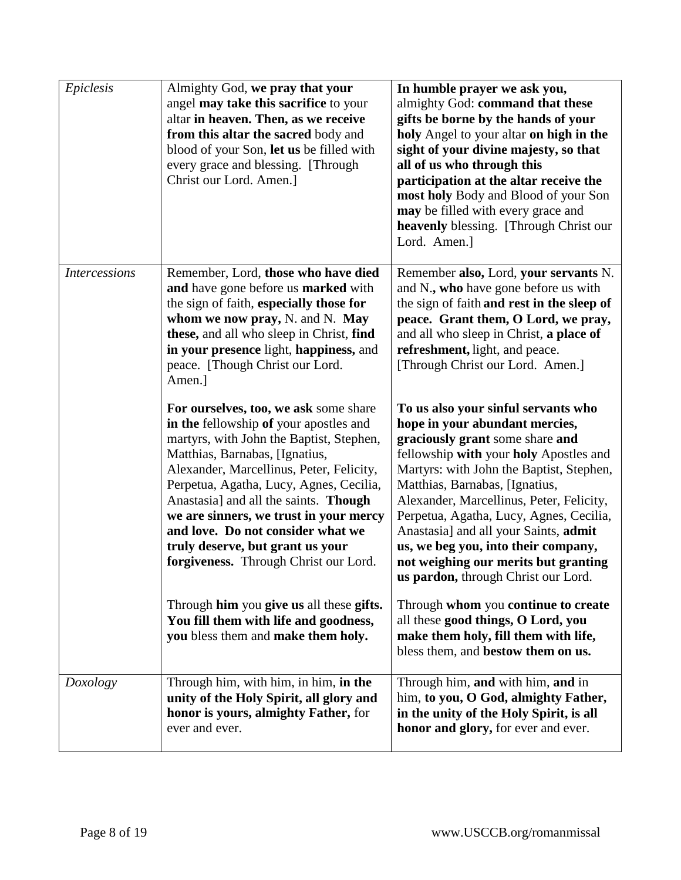| Epiclesis            | Almighty God, we pray that your<br>angel may take this sacrifice to your<br>altar in heaven. Then, as we receive<br>from this altar the sacred body and<br>blood of your Son, let us be filled with<br>every grace and blessing. [Through<br>Christ our Lord. Amen.]                                                                                                                                                                                      | In humble prayer we ask you,<br>almighty God: command that these<br>gifts be borne by the hands of your<br>holy Angel to your altar on high in the<br>sight of your divine majesty, so that<br>all of us who through this<br>participation at the altar receive the<br>most holy Body and Blood of your Son<br>may be filled with every grace and<br><b>heavenly</b> blessing. [Through Christ our<br>Lord. Amen.]                                                                     |
|----------------------|-----------------------------------------------------------------------------------------------------------------------------------------------------------------------------------------------------------------------------------------------------------------------------------------------------------------------------------------------------------------------------------------------------------------------------------------------------------|----------------------------------------------------------------------------------------------------------------------------------------------------------------------------------------------------------------------------------------------------------------------------------------------------------------------------------------------------------------------------------------------------------------------------------------------------------------------------------------|
| <i>Intercessions</i> | Remember, Lord, those who have died<br>and have gone before us marked with<br>the sign of faith, especially those for<br>whom we now pray, N. and N. May<br>these, and all who sleep in Christ, find<br>in your presence light, happiness, and<br>peace. [Though Christ our Lord.<br>Amen.]                                                                                                                                                               | Remember also, Lord, your servants N.<br>and N., who have gone before us with<br>the sign of faith and rest in the sleep of<br>peace. Grant them, O Lord, we pray,<br>and all who sleep in Christ, a place of<br>refreshment, light, and peace.<br>[Through Christ our Lord. Amen.]                                                                                                                                                                                                    |
|                      | For ourselves, too, we ask some share<br>in the fellowship of your apostles and<br>martyrs, with John the Baptist, Stephen,<br>Matthias, Barnabas, [Ignatius,<br>Alexander, Marcellinus, Peter, Felicity,<br>Perpetua, Agatha, Lucy, Agnes, Cecilia,<br>Anastasia] and all the saints. Though<br>we are sinners, we trust in your mercy<br>and love. Do not consider what we<br>truly deserve, but grant us your<br>forgiveness. Through Christ our Lord. | To us also your sinful servants who<br>hope in your abundant mercies,<br>graciously grant some share and<br>fellowship with your holy Apostles and<br>Martyrs: with John the Baptist, Stephen,<br>Matthias, Barnabas, [Ignatius,<br>Alexander, Marcellinus, Peter, Felicity,<br>Perpetua, Agatha, Lucy, Agnes, Cecilia,<br>Anastasia] and all your Saints, admit<br>us, we beg you, into their company,<br>not weighing our merits but granting<br>us pardon, through Christ our Lord. |
|                      | Through him you give us all these gifts.<br>You fill them with life and goodness,<br>you bless them and make them holy.                                                                                                                                                                                                                                                                                                                                   | Through whom you continue to create<br>all these good things, O Lord, you<br>make them holy, fill them with life,<br>bless them, and bestow them on us.                                                                                                                                                                                                                                                                                                                                |
| Doxology             | Through him, with him, in him, in the<br>unity of the Holy Spirit, all glory and<br>honor is yours, almighty Father, for<br>ever and ever.                                                                                                                                                                                                                                                                                                                | Through him, and with him, and in<br>him, to you, O God, almighty Father,<br>in the unity of the Holy Spirit, is all<br>honor and glory, for ever and ever.                                                                                                                                                                                                                                                                                                                            |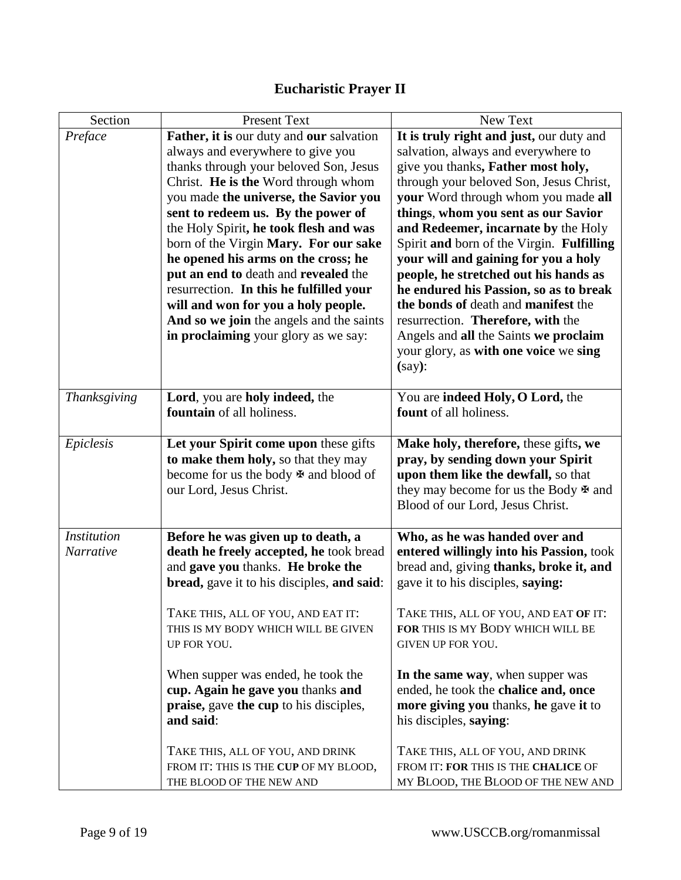# **Eucharistic Prayer II**

| Section                                | <b>Present Text</b>                                                                                                                                                                                                                                                                                                                                                                                                                                                                                                                                                                   | New Text                                                                                                                                                                                                                                                                                                                                                                                                                                                                                                                                                                                                                              |
|----------------------------------------|---------------------------------------------------------------------------------------------------------------------------------------------------------------------------------------------------------------------------------------------------------------------------------------------------------------------------------------------------------------------------------------------------------------------------------------------------------------------------------------------------------------------------------------------------------------------------------------|---------------------------------------------------------------------------------------------------------------------------------------------------------------------------------------------------------------------------------------------------------------------------------------------------------------------------------------------------------------------------------------------------------------------------------------------------------------------------------------------------------------------------------------------------------------------------------------------------------------------------------------|
| Preface                                | Father, it is our duty and our salvation<br>always and everywhere to give you<br>thanks through your beloved Son, Jesus<br>Christ. He is the Word through whom<br>you made the universe, the Savior you<br>sent to redeem us. By the power of<br>the Holy Spirit, he took flesh and was<br>born of the Virgin Mary. For our sake<br>he opened his arms on the cross; he<br>put an end to death and revealed the<br>resurrection. In this he fulfilled your<br>will and won for you a holy people.<br>And so we join the angels and the saints<br>in proclaiming your glory as we say: | It is truly right and just, our duty and<br>salvation, always and everywhere to<br>give you thanks, Father most holy,<br>through your beloved Son, Jesus Christ,<br>your Word through whom you made all<br>things, whom you sent as our Savior<br>and Redeemer, incarnate by the Holy<br>Spirit and born of the Virgin. Fulfilling<br>your will and gaining for you a holy<br>people, he stretched out his hands as<br>he endured his Passion, so as to break<br>the bonds of death and manifest the<br>resurrection. Therefore, with the<br>Angels and all the Saints we proclaim<br>your glory, as with one voice we sing<br>(say): |
| Thanksgiving                           | Lord, you are holy indeed, the<br>fountain of all holiness.                                                                                                                                                                                                                                                                                                                                                                                                                                                                                                                           | You are indeed Holy, O Lord, the<br>fount of all holiness.                                                                                                                                                                                                                                                                                                                                                                                                                                                                                                                                                                            |
| Epiclesis                              | Let your Spirit come upon these gifts<br>to make them holy, so that they may<br>become for us the body $\mathbb F$ and blood of<br>our Lord, Jesus Christ.                                                                                                                                                                                                                                                                                                                                                                                                                            | Make holy, therefore, these gifts, we<br>pray, by sending down your Spirit<br>upon them like the dewfall, so that<br>they may become for us the Body $\overline{\mathbf{v}}$ and<br>Blood of our Lord, Jesus Christ.                                                                                                                                                                                                                                                                                                                                                                                                                  |
| <b>Institution</b><br><b>Narrative</b> | Before he was given up to death, a<br>death he freely accepted, he took bread<br>and gave you thanks. He broke the<br>bread, gave it to his disciples, and said:<br>TAKE THIS, ALL OF YOU, AND EAT IT:<br>THIS IS MY BODY WHICH WILL BE GIVEN<br>UP FOR YOU.<br>When supper was ended, he took the                                                                                                                                                                                                                                                                                    | Who, as he was handed over and<br>entered willingly into his Passion, took<br>bread and, giving thanks, broke it, and<br>gave it to his disciples, saying:<br>TAKE THIS, ALL OF YOU, AND EAT OF IT:<br>FOR THIS IS MY BODY WHICH WILL BE<br>GIVEN UP FOR YOU.<br>In the same way, when supper was                                                                                                                                                                                                                                                                                                                                     |
|                                        | cup. Again he gave you thanks and<br>praise, gave the cup to his disciples,<br>and said:<br>TAKE THIS, ALL OF YOU, AND DRINK<br>FROM IT: THIS IS THE CUP OF MY BLOOD,<br>THE BLOOD OF THE NEW AND                                                                                                                                                                                                                                                                                                                                                                                     | ended, he took the chalice and, once<br>more giving you thanks, he gave it to<br>his disciples, saying:<br>TAKE THIS, ALL OF YOU, AND DRINK<br>FROM IT: FOR THIS IS THE CHALICE OF<br>MY BLOOD, THE BLOOD OF THE NEW AND                                                                                                                                                                                                                                                                                                                                                                                                              |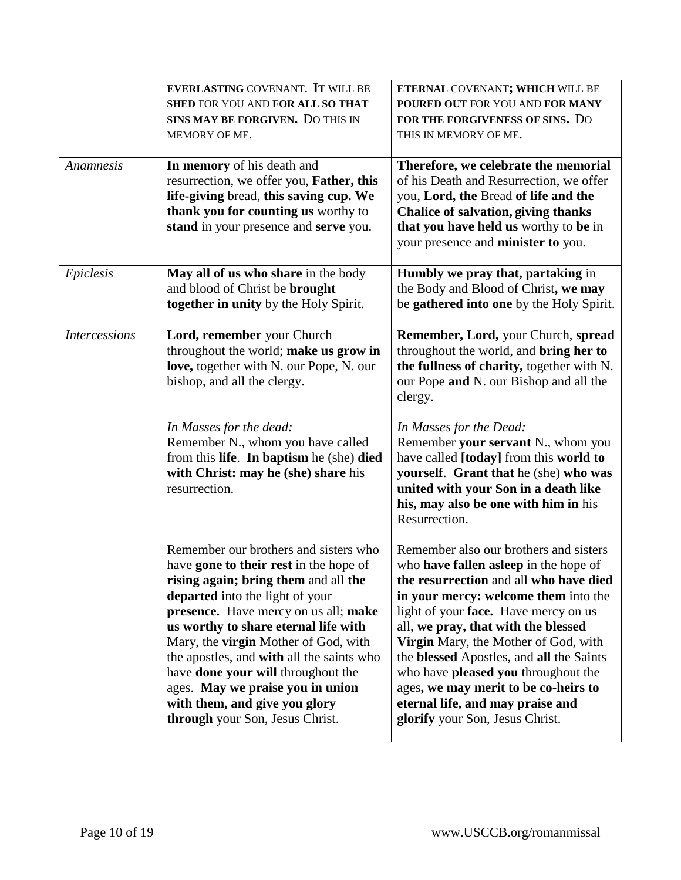|                      | EVERLASTING COVENANT. IT WILL BE<br>SHED FOR YOU AND FOR ALL SO THAT<br>SINS MAY BE FORGIVEN. DO THIS IN<br>MEMORY OF ME.                                                                                                                                                                                                                                                                                                                                                                   | ETERNAL COVENANT; WHICH WILL BE<br>POURED OUT FOR YOU AND FOR MANY<br>FOR THE FORGIVENESS OF SINS. DO<br>THIS IN MEMORY OF ME.                                                                                                                                                                                                                                                                                                                                                             |
|----------------------|---------------------------------------------------------------------------------------------------------------------------------------------------------------------------------------------------------------------------------------------------------------------------------------------------------------------------------------------------------------------------------------------------------------------------------------------------------------------------------------------|--------------------------------------------------------------------------------------------------------------------------------------------------------------------------------------------------------------------------------------------------------------------------------------------------------------------------------------------------------------------------------------------------------------------------------------------------------------------------------------------|
| Anamnesis            | In memory of his death and<br>resurrection, we offer you, Father, this<br>life-giving bread, this saving cup. We<br>thank you for counting us worthy to<br>stand in your presence and serve you.                                                                                                                                                                                                                                                                                            | Therefore, we celebrate the memorial<br>of his Death and Resurrection, we offer<br>you, Lord, the Bread of life and the<br>Chalice of salvation, giving thanks<br>that you have held us worthy to be in<br>your presence and <b>minister to</b> you.                                                                                                                                                                                                                                       |
| Epiclesis            | May all of us who share in the body<br>and blood of Christ be <b>brought</b><br>together in unity by the Holy Spirit.                                                                                                                                                                                                                                                                                                                                                                       | <b>Humbly we pray that, partaking in</b><br>the Body and Blood of Christ, we may<br>be gathered into one by the Holy Spirit.                                                                                                                                                                                                                                                                                                                                                               |
| <i>Intercessions</i> | Lord, remember your Church<br>throughout the world; make us grow in<br>love, together with N. our Pope, N. our<br>bishop, and all the clergy.                                                                                                                                                                                                                                                                                                                                               | Remember, Lord, your Church, spread<br>throughout the world, and <b>bring her to</b><br>the fullness of charity, together with N.<br>our Pope and N. our Bishop and all the<br>clergy.                                                                                                                                                                                                                                                                                                     |
|                      | In Masses for the dead:<br>Remember N., whom you have called<br>from this life. In baptism he (she) died<br>with Christ: may he (she) share his<br>resurrection.                                                                                                                                                                                                                                                                                                                            | In Masses for the Dead:<br>Remember your servant N., whom you<br>have called [today] from this world to<br>yourself. Grant that he (she) who was<br>united with your Son in a death like<br>his, may also be one with him in his<br>Resurrection.                                                                                                                                                                                                                                          |
|                      | Remember our brothers and sisters who<br>have <b>gone to their rest</b> in the hope of<br>rising again; bring them and all the<br>departed into the light of your<br>presence. Have mercy on us all; make<br>us worthy to share eternal life with<br>Mary, the virgin Mother of God, with<br>the apostles, and with all the saints who<br>have <b>done</b> your will throughout the<br>ages. May we praise you in union<br>with them, and give you glory<br>through your Son, Jesus Christ. | Remember also our brothers and sisters<br>who have fallen asleep in the hope of<br>the resurrection and all who have died<br>in your mercy: welcome them into the<br>light of your face. Have mercy on us<br>all, we pray, that with the blessed<br>Virgin Mary, the Mother of God, with<br>the blessed Apostles, and all the Saints<br>who have pleased you throughout the<br>ages, we may merit to be co-heirs to<br>eternal life, and may praise and<br>glorify your Son, Jesus Christ. |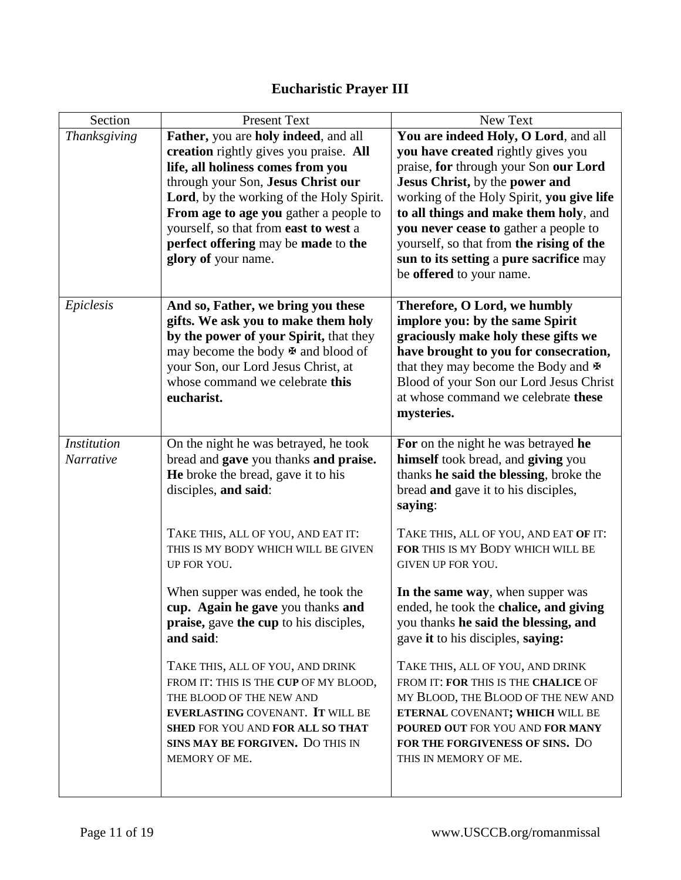# **Eucharistic Prayer III**

| Section            | <b>Present Text</b>                                        | New Text                                                                            |
|--------------------|------------------------------------------------------------|-------------------------------------------------------------------------------------|
| Thanksgiving       | Father, you are holy indeed, and all                       | You are indeed Holy, O Lord, and all                                                |
|                    | creation rightly gives you praise. All                     | you have created rightly gives you                                                  |
|                    | life, all holiness comes from you                          | praise, for through your Son our Lord                                               |
|                    | through your Son, Jesus Christ our                         | Jesus Christ, by the power and                                                      |
|                    | Lord, by the working of the Holy Spirit.                   | working of the Holy Spirit, you give life                                           |
|                    | From age to age you gather a people to                     | to all things and make them holy, and                                               |
|                    | yourself, so that from east to west a                      | you never cease to gather a people to                                               |
|                    | perfect offering may be made to the<br>glory of your name. | yourself, so that from the rising of the<br>sun to its setting a pure sacrifice may |
|                    |                                                            | be offered to your name.                                                            |
|                    |                                                            |                                                                                     |
| Epiclesis          | And so, Father, we bring you these                         | Therefore, O Lord, we humbly                                                        |
|                    | gifts. We ask you to make them holy                        | implore you: by the same Spirit                                                     |
|                    | by the power of your Spirit, that they                     | graciously make holy these gifts we                                                 |
|                    | may become the body $\Psi$ and blood of                    | have brought to you for consecration,                                               |
|                    | your Son, our Lord Jesus Christ, at                        | that they may become the Body and $\mathbb{F}$                                      |
|                    | whose command we celebrate this                            | Blood of your Son our Lord Jesus Christ                                             |
|                    | eucharist.                                                 | at whose command we celebrate these                                                 |
|                    |                                                            | mysteries.                                                                          |
| <i>Institution</i> | On the night he was betrayed, he took                      | For on the night he was betrayed he                                                 |
| Narrative          | bread and gave you thanks and praise.                      | himself took bread, and giving you                                                  |
|                    | He broke the bread, gave it to his                         | thanks he said the blessing, broke the                                              |
|                    | disciples, and said:                                       | bread and gave it to his disciples,                                                 |
|                    |                                                            | saying:                                                                             |
|                    | TAKE THIS, ALL OF YOU, AND EAT IT:                         | TAKE THIS, ALL OF YOU, AND EAT OF IT:                                               |
|                    | THIS IS MY BODY WHICH WILL BE GIVEN                        | FOR THIS IS MY BODY WHICH WILL BE                                                   |
|                    | UP FOR YOU.                                                | GIVEN UP FOR YOU.                                                                   |
|                    |                                                            |                                                                                     |
|                    | When supper was ended, he took the                         | In the same way, when supper was                                                    |
|                    | cup. Again he gave you thanks and                          | ended, he took the chalice, and giving                                              |
|                    | praise, gave the cup to his disciples,<br>and said:        | you thanks he said the blessing, and<br>gave it to his disciples, saying:           |
|                    |                                                            |                                                                                     |
|                    | TAKE THIS, ALL OF YOU, AND DRINK                           | TAKE THIS, ALL OF YOU, AND DRINK                                                    |
|                    | FROM IT: THIS IS THE CUP OF MY BLOOD,                      | FROM IT: FOR THIS IS THE CHALICE OF                                                 |
|                    | THE BLOOD OF THE NEW AND                                   | MY BLOOD, THE BLOOD OF THE NEW AND                                                  |
|                    | EVERLASTING COVENANT. IT WILL BE                           | ETERNAL COVENANT; WHICH WILL BE                                                     |
|                    | SHED FOR YOU AND FOR ALL SO THAT                           | POURED OUT FOR YOU AND FOR MANY                                                     |
|                    | SINS MAY BE FORGIVEN. DO THIS IN                           | FOR THE FORGIVENESS OF SINS. DO                                                     |
|                    | MEMORY OF ME.                                              | THIS IN MEMORY OF ME.                                                               |
|                    |                                                            |                                                                                     |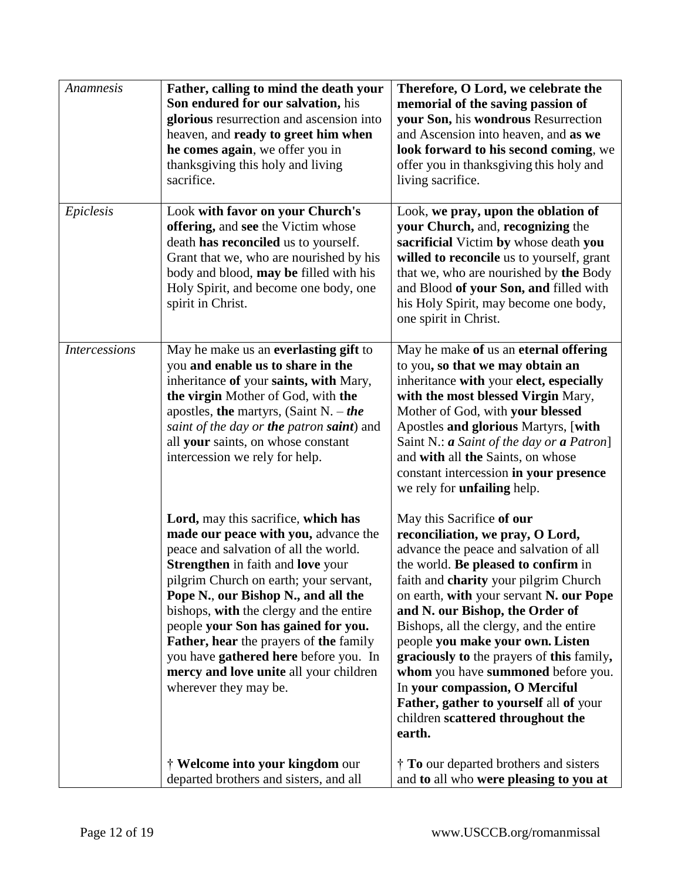| Anamnesis            | Father, calling to mind the death your<br>Son endured for our salvation, his<br>glorious resurrection and ascension into<br>heaven, and ready to greet him when<br>he comes again, we offer you in<br>thanksgiving this holy and living<br>sacrifice.                                                                                                                                                                                                                                                   | Therefore, O Lord, we celebrate the<br>memorial of the saving passion of<br>your Son, his wondrous Resurrection<br>and Ascension into heaven, and as we<br>look forward to his second coming, we<br>offer you in thanksgiving this holy and<br>living sacrifice.                                                                                                                                                                                                                                                                                                   |
|----------------------|---------------------------------------------------------------------------------------------------------------------------------------------------------------------------------------------------------------------------------------------------------------------------------------------------------------------------------------------------------------------------------------------------------------------------------------------------------------------------------------------------------|--------------------------------------------------------------------------------------------------------------------------------------------------------------------------------------------------------------------------------------------------------------------------------------------------------------------------------------------------------------------------------------------------------------------------------------------------------------------------------------------------------------------------------------------------------------------|
| Epiclesis            | Look with favor on your Church's<br>offering, and see the Victim whose<br>death has reconciled us to yourself.<br>Grant that we, who are nourished by his<br>body and blood, <b>may be</b> filled with his<br>Holy Spirit, and become one body, one<br>spirit in Christ.                                                                                                                                                                                                                                | Look, we pray, upon the oblation of<br>your Church, and, recognizing the<br>sacrificial Victim by whose death you<br>willed to reconcile us to yourself, grant<br>that we, who are nourished by the Body<br>and Blood of your Son, and filled with<br>his Holy Spirit, may become one body,<br>one spirit in Christ.                                                                                                                                                                                                                                               |
| <b>Intercessions</b> | May he make us an everlasting gift to<br>you and enable us to share in the<br>inheritance of your saints, with Mary,<br>the virgin Mother of God, with the<br>apostles, the martyrs, (Saint N. $-$ the<br>saint of the day or <b>the</b> patron saint) and<br>all your saints, on whose constant<br>intercession we rely for help.                                                                                                                                                                      | May he make of us an eternal offering<br>to you, so that we may obtain an<br>inheritance with your elect, especially<br>with the most blessed Virgin Mary,<br>Mother of God, with your blessed<br>Apostles and glorious Martyrs, [with<br>Saint N.: $\boldsymbol{a}$ Saint of the day or $\boldsymbol{a}$ Patron]<br>and with all the Saints, on whose<br>constant intercession in your presence<br>we rely for <b>unfailing</b> help.                                                                                                                             |
|                      | Lord, may this sacrifice, which has<br>made our peace with you, advance the<br>peace and salvation of all the world.<br><b>Strengthen</b> in faith and <b>love</b> your<br>pilgrim Church on earth; your servant,<br>Pope N., our Bishop N., and all the<br>bishops, with the clergy and the entire<br>people your Son has gained for you.<br><b>Father, hear</b> the prayers of the family<br>you have gathered here before you. In<br>mercy and love unite all your children<br>wherever they may be. | May this Sacrifice of our<br>reconciliation, we pray, O Lord,<br>advance the peace and salvation of all<br>the world. Be pleased to confirm in<br>faith and charity your pilgrim Church<br>on earth, with your servant N. our Pope<br>and N. our Bishop, the Order of<br>Bishops, all the clergy, and the entire<br>people you make your own. Listen<br>graciously to the prayers of this family,<br>whom you have summoned before you.<br>In your compassion, O Merciful<br>Father, gather to yourself all of your<br>children scattered throughout the<br>earth. |
|                      | † Welcome into your kingdom our<br>departed brothers and sisters, and all                                                                                                                                                                                                                                                                                                                                                                                                                               | † To our departed brothers and sisters<br>and to all who were pleasing to you at                                                                                                                                                                                                                                                                                                                                                                                                                                                                                   |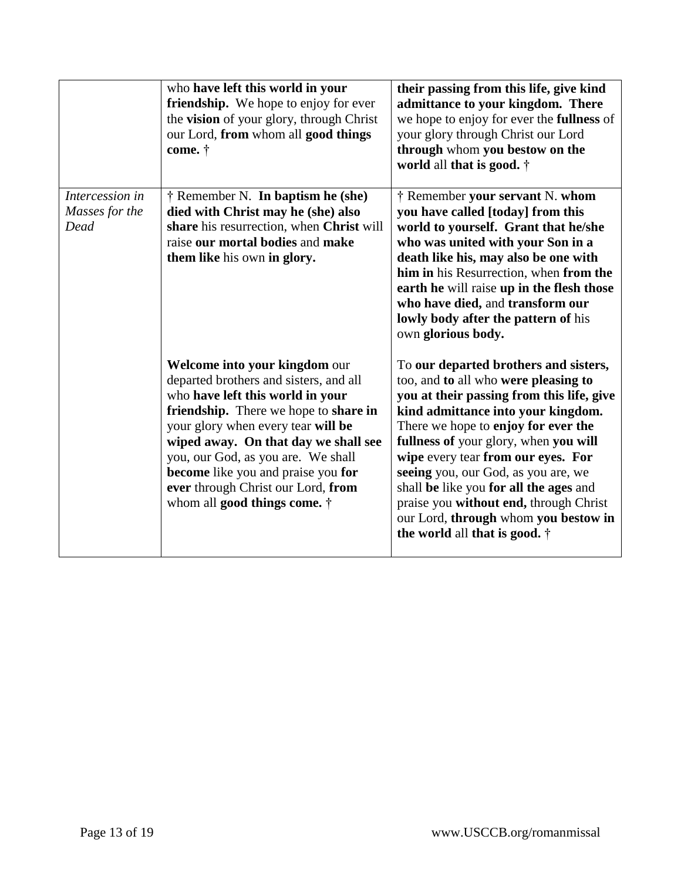|                                           | who have left this world in your<br>friendship. We hope to enjoy for ever<br>the vision of your glory, through Christ<br>our Lord, from whom all good things<br>come. †                                                                                                                                                                                                                      | their passing from this life, give kind<br>admittance to your kingdom. There<br>we hope to enjoy for ever the fullness of<br>your glory through Christ our Lord<br>through whom you bestow on the<br>world all that is good. $\dagger$                                                                                                                                                                                                                                                             |
|-------------------------------------------|----------------------------------------------------------------------------------------------------------------------------------------------------------------------------------------------------------------------------------------------------------------------------------------------------------------------------------------------------------------------------------------------|----------------------------------------------------------------------------------------------------------------------------------------------------------------------------------------------------------------------------------------------------------------------------------------------------------------------------------------------------------------------------------------------------------------------------------------------------------------------------------------------------|
| Intercession in<br>Masses for the<br>Dead | † Remember N. In baptism he (she)<br>died with Christ may he (she) also<br>share his resurrection, when Christ will<br>raise our mortal bodies and make<br>them like his own in glory.                                                                                                                                                                                                       | † Remember your servant N. whom<br>you have called [today] from this<br>world to yourself. Grant that he/she<br>who was united with your Son in a<br>death like his, may also be one with<br>him in his Resurrection, when from the<br>earth he will raise up in the flesh those<br>who have died, and transform our<br>lowly body after the pattern of his<br>own glorious body.                                                                                                                  |
|                                           | Welcome into your kingdom our<br>departed brothers and sisters, and all<br>who have left this world in your<br>friendship. There we hope to share in<br>your glory when every tear will be<br>wiped away. On that day we shall see<br>you, our God, as you are. We shall<br>become like you and praise you for<br>ever through Christ our Lord, from<br>whom all good things come. $\dagger$ | To our departed brothers and sisters,<br>too, and to all who were pleasing to<br>you at their passing from this life, give<br>kind admittance into your kingdom.<br>There we hope to enjoy for ever the<br>fullness of your glory, when you will<br>wipe every tear from our eyes. For<br>seeing you, our God, as you are, we<br>shall be like you for all the ages and<br>praise you without end, through Christ<br>our Lord, through whom you bestow in<br>the world all that is good. $\dagger$ |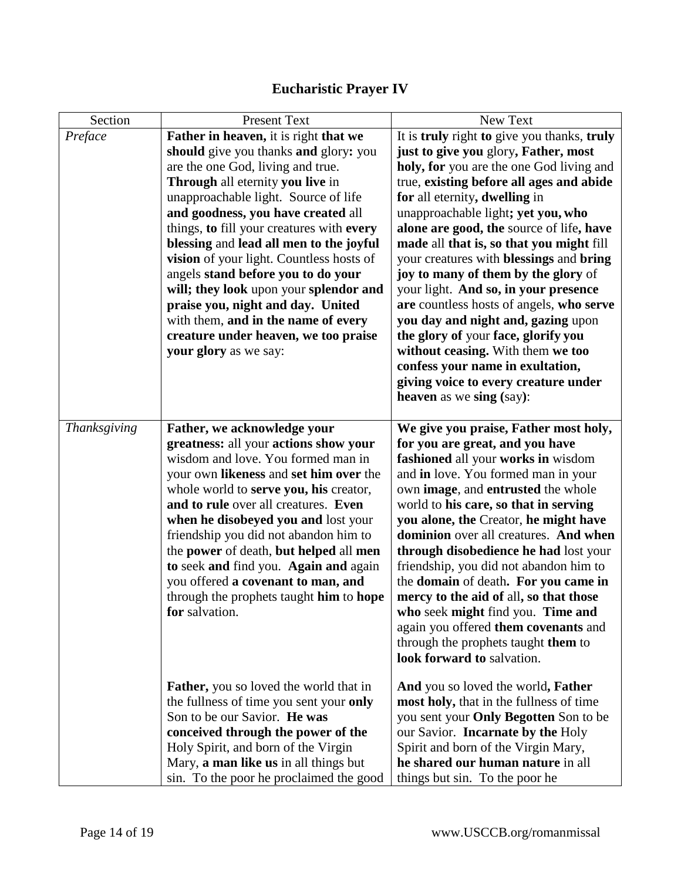# **Eucharistic Prayer IV**

| Section      | <b>Present Text</b>                            | New Text                                     |
|--------------|------------------------------------------------|----------------------------------------------|
| Preface      | Father in heaven, it is right that we          | It is truly right to give you thanks, truly  |
|              | should give you thanks and glory: you          | just to give you glory, Father, most         |
|              | are the one God, living and true.              | holy, for you are the one God living and     |
|              | <b>Through all eternity you live in</b>        | true, existing before all ages and abide     |
|              | unapproachable light. Source of life           | for all eternity, dwelling in                |
|              | and goodness, you have created all             | unapproachable light; yet you, who           |
|              | things, to fill your creatures with every      | alone are good, the source of life, have     |
|              | blessing and lead all men to the joyful        | made all that is, so that you might fill     |
|              | vision of your light. Countless hosts of       | your creatures with blessings and bring      |
|              | angels stand before you to do your             | joy to many of them by the glory of          |
|              | will; they look upon your splendor and         | your light. And so, in your presence         |
|              | praise you, night and day. United              | are countless hosts of angels, who serve     |
|              | with them, and in the name of every            | you day and night and, gazing upon           |
|              | creature under heaven, we too praise           | the glory of your face, glorify you          |
|              | your glory as we say:                          | without ceasing. With them we too            |
|              |                                                | confess your name in exultation,             |
|              |                                                | giving voice to every creature under         |
|              |                                                | heaven as we sing (say):                     |
|              |                                                |                                              |
| Thanksgiving | Father, we acknowledge your                    | We give you praise, Father most holy,        |
|              | greatness: all your actions show your          | for you are great, and you have              |
|              | wisdom and love. You formed man in             | fashioned all your works in wisdom           |
|              | your own likeness and set him over the         | and in love. You formed man in your          |
|              | whole world to <b>serve you</b> , his creator, | own image, and entrusted the whole           |
|              | and to rule over all creatures. Even           | world to his care, so that in serving        |
|              | when he disobeyed you and lost your            | you alone, the Creator, he might have        |
|              |                                                | dominion over all creatures. And when        |
|              | friendship you did not abandon him to          |                                              |
|              | the power of death, but helped all men         | through disobedience he had lost your        |
|              | to seek and find you. Again and again          | friendship, you did not abandon him to       |
|              | you offered a covenant to man, and             | the domain of death. For you came in         |
|              | through the prophets taught him to hope        | mercy to the aid of all, so that those       |
|              | for salvation.                                 | who seek might find you. Time and            |
|              |                                                | again you offered them covenants and         |
|              |                                                | through the prophets taught <b>them</b> to   |
|              |                                                | look forward to salvation.                   |
|              | <b>Father,</b> you so loved the world that in  | And you so loved the world, Father           |
|              | the fullness of time you sent your only        | most holy, that in the fullness of time      |
|              | Son to be our Savior. He was                   |                                              |
|              |                                                | you sent your <b>Only Begotten</b> Son to be |
|              | conceived through the power of the             | our Savior. Incarnate by the Holy            |
|              | Holy Spirit, and born of the Virgin            | Spirit and born of the Virgin Mary,          |
|              | Mary, a man like us in all things but          | he shared our human nature in all            |
|              | sin. To the poor he proclaimed the good        | things but sin. To the poor he               |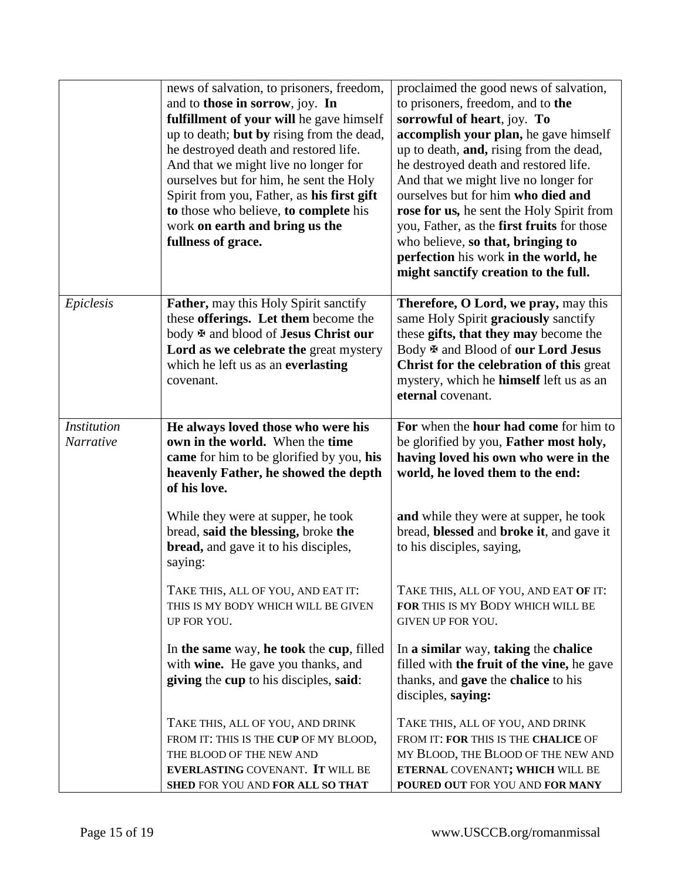|                                 | news of salvation, to prisoners, freedom,<br>and to those in sorrow, joy. In<br>fulfillment of your will he gave himself<br>up to death; but by rising from the dead,<br>he destroyed death and restored life.<br>And that we might live no longer for<br>ourselves but for him, he sent the Holy<br>Spirit from you, Father, as his first gift<br>to those who believe, to complete his<br>work on earth and bring us the<br>fullness of grace. | proclaimed the good news of salvation,<br>to prisoners, freedom, and to the<br>sorrowful of heart, joy. To<br>accomplish your plan, he gave himself<br>up to death, and, rising from the dead,<br>he destroyed death and restored life.<br>And that we might live no longer for<br>ourselves but for him who died and<br>rose for us, he sent the Holy Spirit from<br>you, Father, as the first fruits for those<br>who believe, so that, bringing to<br>perfection his work in the world, he<br>might sanctify creation to the full. |
|---------------------------------|--------------------------------------------------------------------------------------------------------------------------------------------------------------------------------------------------------------------------------------------------------------------------------------------------------------------------------------------------------------------------------------------------------------------------------------------------|---------------------------------------------------------------------------------------------------------------------------------------------------------------------------------------------------------------------------------------------------------------------------------------------------------------------------------------------------------------------------------------------------------------------------------------------------------------------------------------------------------------------------------------|
| Epiclesis                       | Father, may this Holy Spirit sanctify<br>these offerings. Let them become the<br>body <b>H</b> and blood of <b>Jesus Christ our</b><br>Lord as we celebrate the great mystery<br>which he left us as an everlasting<br>covenant.                                                                                                                                                                                                                 | Therefore, O Lord, we pray, may this<br>same Holy Spirit graciously sanctify<br>these gifts, that they may become the<br>Body <sup>\$</sup> and Blood of our Lord Jesus<br>Christ for the celebration of this great<br>mystery, which he himself left us as an<br>eternal covenant.                                                                                                                                                                                                                                                   |
| <b>Institution</b><br>Narrative | He always loved those who were his<br>own in the world. When the time<br>came for him to be glorified by you, his<br>heavenly Father, he showed the depth<br>of his love.                                                                                                                                                                                                                                                                        | For when the hour had come for him to<br>be glorified by you, Father most holy,<br>having loved his own who were in the<br>world, he loved them to the end:                                                                                                                                                                                                                                                                                                                                                                           |
|                                 | While they were at supper, he took<br>bread, said the blessing, broke the<br><b>bread</b> , and gave it to his disciples,<br>saying:                                                                                                                                                                                                                                                                                                             | and while they were at supper, he took<br>bread, blessed and broke it, and gave it<br>to his disciples, saying,                                                                                                                                                                                                                                                                                                                                                                                                                       |
|                                 | TAKE THIS, ALL OF YOU, AND EAT IT:<br>THIS IS MY BODY WHICH WILL BE GIVEN<br>UP FOR YOU.                                                                                                                                                                                                                                                                                                                                                         | TAKE THIS, ALL OF YOU, AND EAT OF IT:<br>FOR THIS IS MY BODY WHICH WILL BE<br>GIVEN UP FOR YOU.                                                                                                                                                                                                                                                                                                                                                                                                                                       |
|                                 | In the same way, he took the cup, filled<br>with <b>wine.</b> He gave you thanks, and<br>giving the cup to his disciples, said:                                                                                                                                                                                                                                                                                                                  | In a similar way, taking the chalice<br>filled with the fruit of the vine, he gave<br>thanks, and gave the chalice to his<br>disciples, saying:                                                                                                                                                                                                                                                                                                                                                                                       |
|                                 | TAKE THIS, ALL OF YOU, AND DRINK<br>FROM IT: THIS IS THE CUP OF MY BLOOD,<br>THE BLOOD OF THE NEW AND<br>EVERLASTING COVENANT. IT WILL BE<br>SHED FOR YOU AND FOR ALL SO THAT                                                                                                                                                                                                                                                                    | TAKE THIS, ALL OF YOU, AND DRINK<br>FROM IT: FOR THIS IS THE CHALICE OF<br>MY BLOOD, THE BLOOD OF THE NEW AND<br>ETERNAL COVENANT; WHICH WILL BE<br>POURED OUT FOR YOU AND FOR MANY                                                                                                                                                                                                                                                                                                                                                   |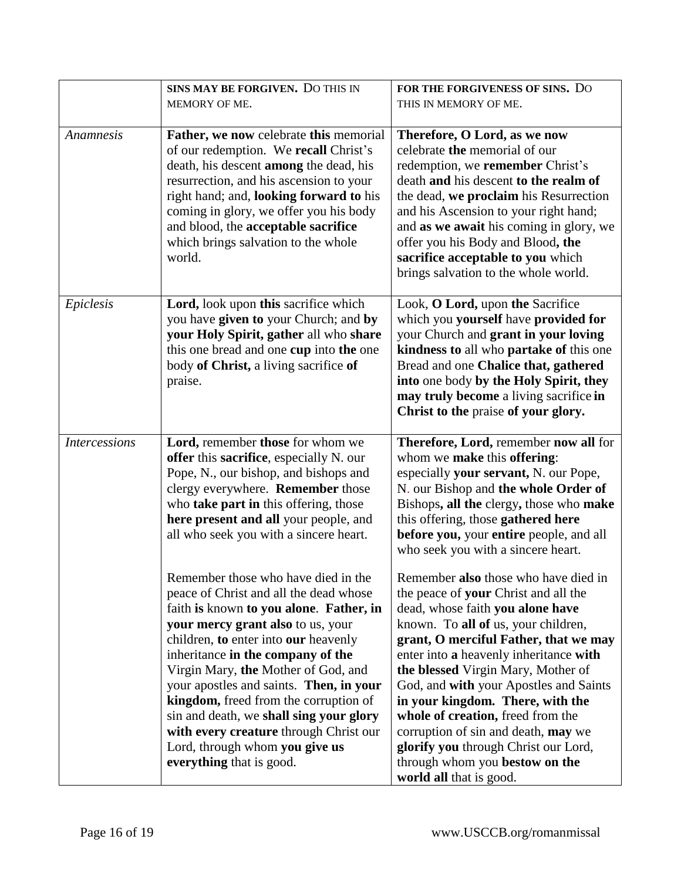|                      | SINS MAY BE FORGIVEN. DO THIS IN                                                                                                                                                                                                                                                                                                                                                                                                                                                                                         | FOR THE FORGIVENESS OF SINS. DO                                                                                                                                                                                                                                                                                                                                                                                                                                                                                                                 |
|----------------------|--------------------------------------------------------------------------------------------------------------------------------------------------------------------------------------------------------------------------------------------------------------------------------------------------------------------------------------------------------------------------------------------------------------------------------------------------------------------------------------------------------------------------|-------------------------------------------------------------------------------------------------------------------------------------------------------------------------------------------------------------------------------------------------------------------------------------------------------------------------------------------------------------------------------------------------------------------------------------------------------------------------------------------------------------------------------------------------|
|                      | MEMORY OF ME.                                                                                                                                                                                                                                                                                                                                                                                                                                                                                                            | THIS IN MEMORY OF ME.                                                                                                                                                                                                                                                                                                                                                                                                                                                                                                                           |
| Anamnesis            | Father, we now celebrate this memorial<br>of our redemption. We recall Christ's<br>death, his descent among the dead, his<br>resurrection, and his ascension to your<br>right hand; and, looking forward to his<br>coming in glory, we offer you his body<br>and blood, the acceptable sacrifice<br>which brings salvation to the whole<br>world.                                                                                                                                                                        | Therefore, O Lord, as we now<br>celebrate the memorial of our<br>redemption, we remember Christ's<br>death and his descent to the realm of<br>the dead, we proclaim his Resurrection<br>and his Ascension to your right hand;<br>and as we await his coming in glory, we<br>offer you his Body and Blood, the<br>sacrifice acceptable to you which<br>brings salvation to the whole world.                                                                                                                                                      |
| Epiclesis            | Lord, look upon this sacrifice which<br>you have given to your Church; and by<br>your Holy Spirit, gather all who share<br>this one bread and one cup into the one<br>body of Christ, a living sacrifice of<br>praise.                                                                                                                                                                                                                                                                                                   | Look, O Lord, upon the Sacrifice<br>which you yourself have provided for<br>your Church and grant in your loving<br>kindness to all who partake of this one<br>Bread and one Chalice that, gathered<br>into one body by the Holy Spirit, they<br>may truly become a living sacrifice in<br>Christ to the praise of your glory.                                                                                                                                                                                                                  |
| <b>Intercessions</b> | Lord, remember those for whom we<br>offer this sacrifice, especially N. our<br>Pope, N., our bishop, and bishops and<br>clergy everywhere. Remember those<br>who take part in this offering, those<br>here present and all your people, and<br>all who seek you with a sincere heart.                                                                                                                                                                                                                                    | Therefore, Lord, remember now all for<br>whom we make this offering:<br>especially your servant, N. our Pope,<br>N. our Bishop and the whole Order of<br>Bishops, all the clergy, those who make<br>this offering, those gathered here<br>before you, your entire people, and all<br>who seek you with a sincere heart.                                                                                                                                                                                                                         |
|                      | Remember those who have died in the<br>peace of Christ and all the dead whose<br>faith is known to you alone. Father, in<br>your mercy grant also to us, your<br>children, to enter into our heavenly<br>inheritance in the company of the<br>Virgin Mary, the Mother of God, and<br>your apostles and saints. Then, in your<br>kingdom, freed from the corruption of<br>sin and death, we shall sing your glory<br>with every creature through Christ our<br>Lord, through whom you give us<br>everything that is good. | Remember also those who have died in<br>the peace of your Christ and all the<br>dead, whose faith you alone have<br>known. To all of us, your children,<br>grant, O merciful Father, that we may<br>enter into a heavenly inheritance with<br>the blessed Virgin Mary, Mother of<br>God, and with your Apostles and Saints<br>in your kingdom. There, with the<br>whole of creation, freed from the<br>corruption of sin and death, may we<br>glorify you through Christ our Lord,<br>through whom you bestow on the<br>world all that is good. |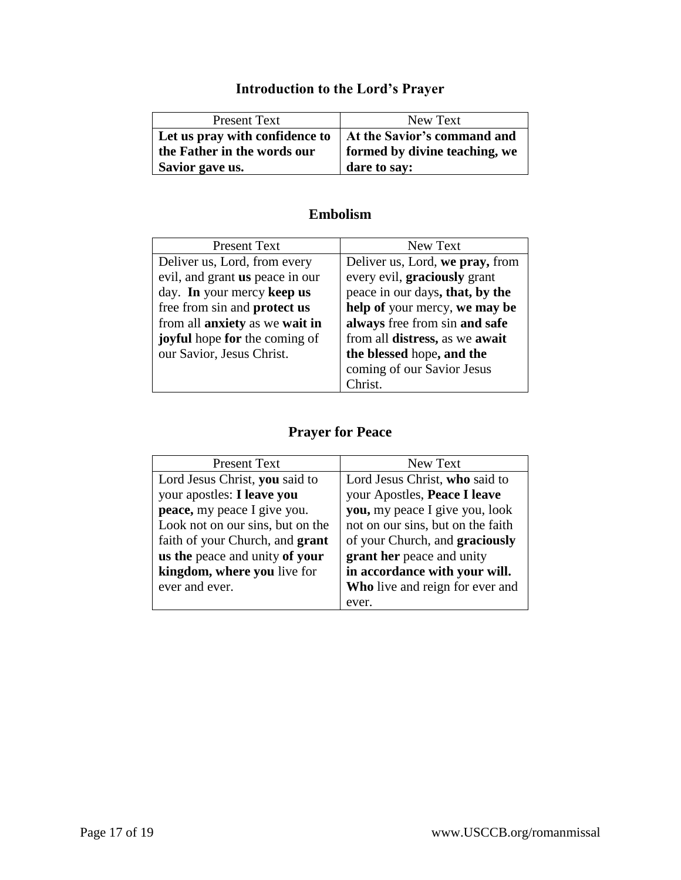# **Introduction to the Lord's Prayer**

| <b>Present Text</b>            | New Text                      |
|--------------------------------|-------------------------------|
| Let us pray with confidence to | At the Savior's command and   |
| the Father in the words our    | formed by divine teaching, we |
| Savior gave us.                | dare to say:                  |

#### **Embolism**

| <b>Present Text</b>                          | New Text                        |
|----------------------------------------------|---------------------------------|
| Deliver us, Lord, from every                 | Deliver us, Lord, we pray, from |
| evil, and grant <b>us</b> peace in our       | every evil, graciously grant    |
| day. In your mercy keep us                   | peace in our days, that, by the |
| free from sin and <b>protect us</b>          | help of your mercy, we may be   |
| from all <b>anxiety</b> as we <b>wait in</b> | always free from sin and safe   |
| joyful hope for the coming of                | from all distress, as we await  |
| our Savior, Jesus Christ.                    | the blessed hope, and the       |
|                                              | coming of our Savior Jesus      |
|                                              | Christ.                         |

## **Prayer for Peace**

| <b>Present Text</b>              | New Text                          |
|----------------------------------|-----------------------------------|
| Lord Jesus Christ, you said to   | Lord Jesus Christ, who said to    |
| your apostles: I leave you       | your Apostles, Peace I leave      |
| peace, my peace I give you.      | you, my peace I give you, look    |
| Look not on our sins, but on the | not on our sins, but on the faith |
| faith of your Church, and grant  | of your Church, and graciously    |
| us the peace and unity of your   | grant her peace and unity         |
| kingdom, where you live for      | in accordance with your will.     |
| ever and ever.                   | Who live and reign for ever and   |
|                                  | ever.                             |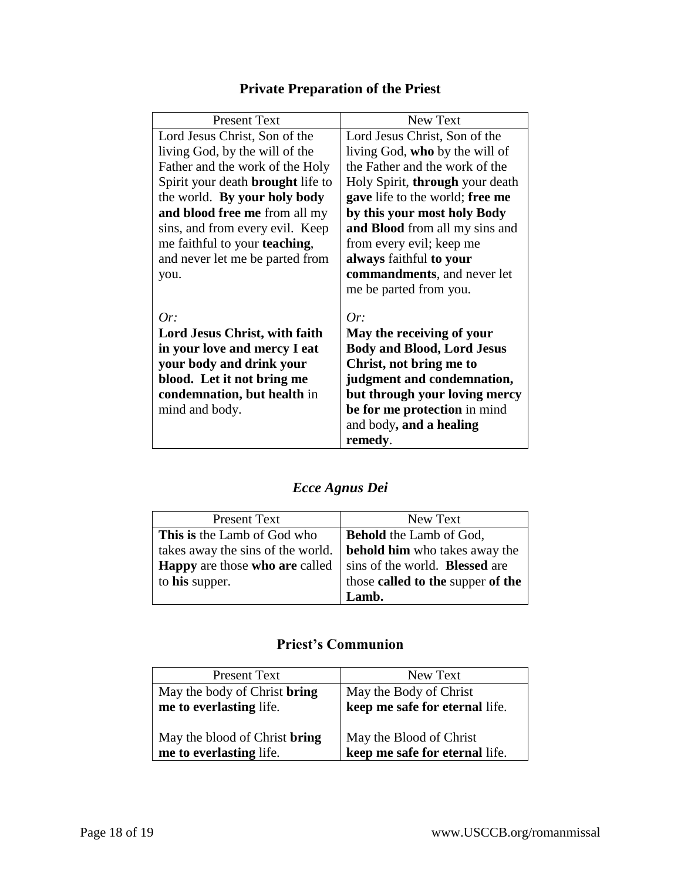# **Private Preparation of the Priest**

| <b>Present Text</b>                      | New Text                               |
|------------------------------------------|----------------------------------------|
| Lord Jesus Christ, Son of the            | Lord Jesus Christ, Son of the          |
| living God, by the will of the           | living God, who by the will of         |
| Father and the work of the Holy          | the Father and the work of the         |
| Spirit your death <b>brought</b> life to | Holy Spirit, through your death        |
| the world. By your holy body             | <b>gave</b> life to the world; free me |
| and blood free me from all my            | by this your most holy Body            |
| sins, and from every evil. Keep          | and Blood from all my sins and         |
| me faithful to your <b>teaching</b> ,    | from every evil; keep me               |
| and never let me be parted from          | always faithful to your                |
| you.                                     | commandments, and never let            |
|                                          | me be parted from you.                 |
|                                          |                                        |
| Or:                                      | Or:                                    |
| Lord Jesus Christ, with faith            | May the receiving of your              |
| in your love and mercy I eat             | <b>Body and Blood, Lord Jesus</b>      |
| your body and drink your                 | Christ, not bring me to                |
| blood. Let it not bring me               | judgment and condemnation,             |
| condemnation, but health in              | but through your loving mercy          |
| mind and body.                           | be for me protection in mind           |
|                                          | and body, and a healing                |
|                                          | remedy.                                |

### *Ecce Agnus Dei*

| <b>Present Text</b>                   | New Text                              |
|---------------------------------------|---------------------------------------|
| This is the Lamb of God who           | <b>Behold</b> the Lamb of God,        |
| takes away the sins of the world.     | behold him who takes away the         |
| <b>Happy</b> are those who are called | sins of the world. <b>Blessed</b> are |
| to his supper.                        | those called to the supper of the     |
|                                       | Lamb.                                 |

#### **Priest's Communion**

| <b>Present Text</b>                  | New Text                       |
|--------------------------------------|--------------------------------|
| May the body of Christ <b>bring</b>  | May the Body of Christ         |
| me to everlasting life.              | keep me safe for eternal life. |
| May the blood of Christ <b>bring</b> | May the Blood of Christ        |
| me to everlasting life.              | keep me safe for eternal life. |